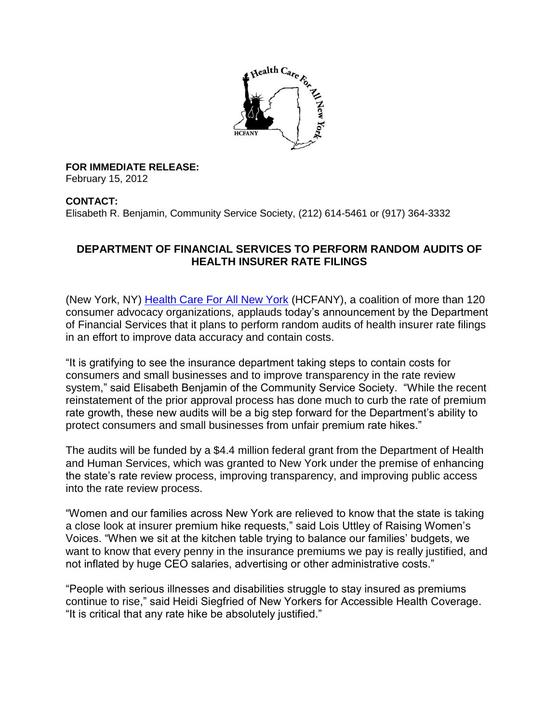

**FOR IMMEDIATE RELEASE:** 

February 15, 2012

## **CONTACT:**

Elisabeth R. Benjamin, Community Service Society, (212) 614-5461 or (917) 364-3332

## **DEPARTMENT OF FINANCIAL SERVICES TO PERFORM RANDOM AUDITS OF HEALTH INSURER RATE FILINGS**

(New York, NY) [Health Care For All New York](http://www.hcfany.org/) (HCFANY), a coalition of more than 120 consumer advocacy organizations, applauds today's announcement by the Department of Financial Services that it plans to perform random audits of health insurer rate filings in an effort to improve data accuracy and contain costs.

"It is gratifying to see the insurance department taking steps to contain costs for consumers and small businesses and to improve transparency in the rate review system," said Elisabeth Benjamin of the Community Service Society. "While the recent reinstatement of the prior approval process has done much to curb the rate of premium rate growth, these new audits will be a big step forward for the Department's ability to protect consumers and small businesses from unfair premium rate hikes."

The audits will be funded by a \$4.4 million federal grant from the Department of Health and Human Services, which was granted to New York under the premise of enhancing the state's rate review process, improving transparency, and improving public access into the rate review process.

"Women and our families across New York are relieved to know that the state is taking a close look at insurer premium hike requests," said Lois Uttley of Raising Women's Voices. "When we sit at the kitchen table trying to balance our families' budgets, we want to know that every penny in the insurance premiums we pay is really justified, and not inflated by huge CEO salaries, advertising or other administrative costs."

"People with serious illnesses and disabilities struggle to stay insured as premiums continue to rise," said Heidi Siegfried of New Yorkers for Accessible Health Coverage. "It is critical that any rate hike be absolutely justified."